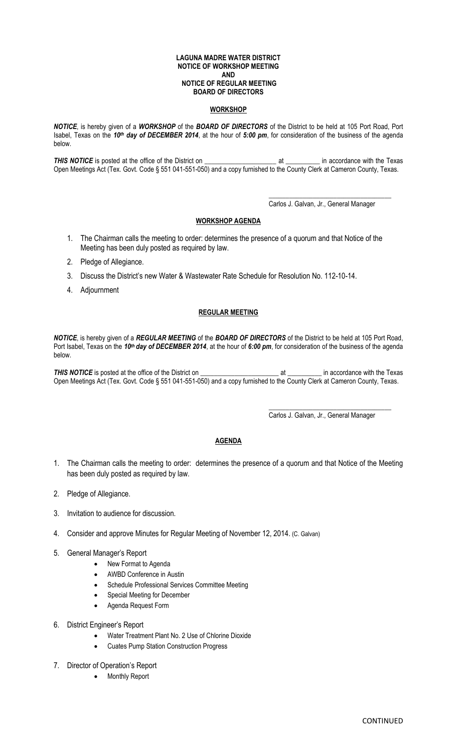#### **LAGUNA MADRE WATER DISTRICT NOTICE OF WORKSHOP MEETING AND NOTICE OF REGULAR MEETING BOARD OF DIRECTORS**

### **WORKSHOP**

*NOTICE*, is hereby given of a *WORKSHOP* of the *BOARD OF DIRECTORS* of the District to be held at 105 Port Road, Port Isabel, Texas on the *10th day of DECEMBER 2014*, at the hour of *5:00 pm*, for consideration of the business of the agenda below.

**THIS NOTICE** is posted at the office of the District on the content of the Texas at the Texas in accordance with the Texas Open Meetings Act (Tex. Govt. Code § 551 041-551-050) and a copy furnished to the County Clerk at Cameron County, Texas.

> \_\_\_\_\_\_\_\_\_\_\_\_\_\_\_\_\_\_\_\_\_\_\_\_\_\_\_\_\_\_\_\_\_\_\_\_ Carlos J. Galvan, Jr., General Manager

### **WORKSHOP AGENDA**

- 1. The Chairman calls the meeting to order: determines the presence of a quorum and that Notice of the Meeting has been duly posted as required by law.
- 2. Pledge of Allegiance.
- 3. Discuss the District's new Water & Wastewater Rate Schedule for Resolution No. 112-10-14.
- 4. Adjournment

## **REGULAR MEETING**

*NOTICE*, is hereby given of a *REGULAR MEETING* of the *BOARD OF DIRECTORS* of the District to be held at 105 Port Road, Port Isabel, Texas on the *10th day of DECEMBER 2014*, at the hour of *6:00 pm*, for consideration of the business of the agenda below.

**THIS NOTICE** is posted at the office of the District on the content of the Texas at the Texas in accordance with the Texas Open Meetings Act (Tex. Govt. Code § 551 041-551-050) and a copy furnished to the County Clerk at Cameron County, Texas.

Carlos J. Galvan, Jr., General Manager

\_\_\_\_\_\_\_\_\_\_\_\_\_\_\_\_\_\_\_\_\_\_\_\_\_\_\_\_\_\_\_\_\_\_\_\_

# **AGENDA**

- 1. The Chairman calls the meeting to order: determines the presence of a quorum and that Notice of the Meeting has been duly posted as required by law.
- 2. Pledge of Allegiance.
- 3. Invitation to audience for discussion.
- 4. Consider and approve Minutes for Regular Meeting of November 12, 2014. (C. Galvan)
- 5. General Manager's Report
	- New Format to Agenda
	- AWBD Conference in Austin
	- Schedule Professional Services Committee Meeting
	- Special Meeting for December
	- Agenda Request Form
- 6. District Engineer's Report
	- Water Treatment Plant No. 2 Use of Chlorine Dioxide
	- Cuates Pump Station Construction Progress
- 7. Director of Operation's Report
	- Monthly Report